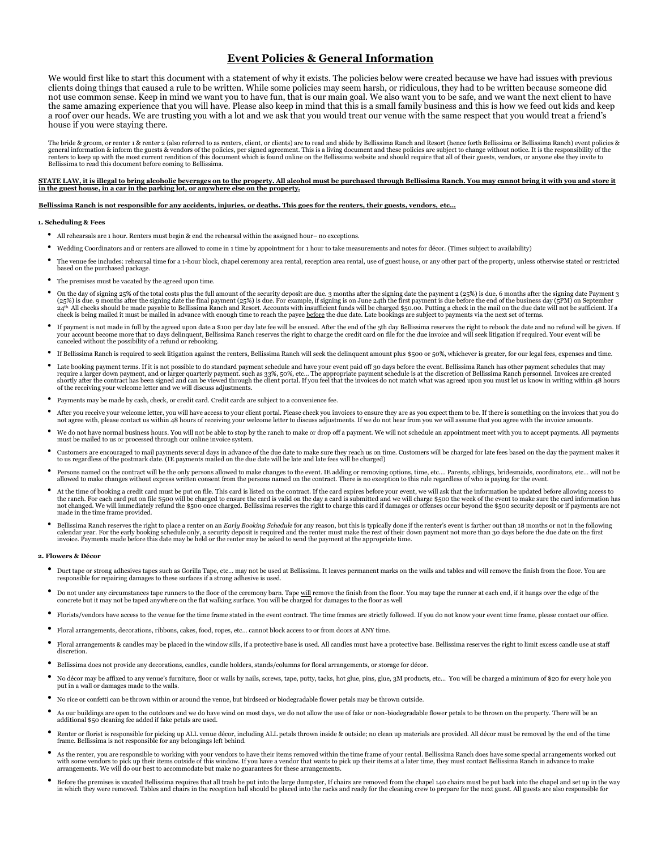# **Event Policies & General Information**

We would first like to start this document with a statement of why it exists. The policies below were created because we have had issues with previous clients doing things that caused a rule to be written. While some policies may seem harsh, or ridiculous, they had to be written because someone did not use common sense. Keep in mind we want you to have fun, that is our main goal. We also want you to be safe, and we want the next client to have the same amazing experience that you will have. Please also keep in mind that this is a small family business and this is how we feed out kids and keep a roof over our heads. We are trusting you with a lot and we ask that you would treat our venue with the same respect that you would treat a friend's house if you were staying there.

The bride & groom, or renter 1 & renter 2 (also referred to as renters, client, or clients) are to read and abide by Bellissima Ranch and Resort (hence forth Bellissima or Bellissima Ranch) event policies &<br>general informa Bellissima to read this document before coming to Bellissima.

## **STATE LAW, it is illegal to bring alcoholic beverages on to the property. All alcohol must be purchased through Bellissima Ranch. You may cannot bring it with you and store it in the guest house, in a car in the parking lot, or anywhere else on the property.**

### **Bellissima Ranch is not responsible for any accidents, injuries, or deaths. This goes for the renters, their guests, vendors, etc…**

### **1. Scheduling & Fees**

- All rehearsals are 1 hour. Renters must begin & end the rehearsal within the assigned hour– no exceptions.
- Wedding Coordinators and or renters are allowed to come in 1 time by appointment for 1 hour to take measurements and notes for décor. (Times subject to availability)
- The venue fee includes: rehearsal time for a 1-hour block, chapel ceremony area rental, reception area rental, use of guest house, or any other part of the property, unless otherwise stated or restricted based on the purchased package.
- The premises must be vacated by the agreed upon time.
- On the day of signing 25% of the total costs plus the full amount of the security deposit are due. 3 months after the signing date the payment 2 (25%) is due. 6 months after the signing date Payment 3 (25%) is due. 9 months after the signing date the final payment (25%) is due. For example, if signing is on June 24th the first payment is due before the end of the business day (5PM) on September 24th the first payment is
- If payment is not made in full by the agreed upon date a \$100 per day late fee will be ensued. After the end of the 5th day Bellissima reserves the right to rebook the date and no refund will be given. If your account beco canceled without the possibility of a refund or rebooking.
- If Bellissima Ranch is required to seek litigation against the renters, Bellissima Ranch will seek the delinquent amount plus \$500 or 50%, whichever is greater, for our legal fees, expenses and time.
- Late booking payment terms. If it is not possible to do standard payment schedule and have your event paid off 30 days before the event. Bellissima Ranch has other payment schedules that may require a larger down payment, and or larger quarterly payment. such as 33%, 50%, etc… The appropriate payment schedule is at the discretion of Bellissima Ranch personnel. Invoices are created<br>shortly after the contract ha
- Payments may be made by cash, check, or credit card. Credit cards are subject to a convenience fee.
- After you receive your welcome letter, you will have access to your client portal. Please check you invoices to ensure they are as you expect them to be. If there is something on the invoices that you do not agree with, please contact us within 48 hours of receiving your welcome letter to discuss adjustments. If we do not hear from you we will assume that you agree with the invoice amounts.
- We do not have normal business hours. You will not be able to stop by the ranch to make or drop off a payment. We will not schedule an appointment meet with you to accept payments. All payments must be mailed to us or processed through our online invoice system.
- Customers are encouraged to mail payments several days in advance of the due date to make sure they reach us on time. Customers will be charged for late fees based on the day the payment makes it to us regardless of the postmark date. (IE payments mailed on the due date will be late and late fees will be charged)
- Persons named on the contract will be the only persons allowed to make changes to the event. IE adding or removing options, time, etc... Parents, siblings, bridesmaids, coordinators, etc... will not be allowed to make ch
- At the time of booking a credit card must be put on file. This card is listed on the contract. If the card expires before your event, we will ask that the information be updated before allowing access to the ranch. For eac not changed. We will immediately refund the \$500 once charged. Bellissima reserves the right to charge this card if damages or offenses occur beyond the \$500 security deposit or if payments are not made in the time frame provided.
- Bellissima Ranch reserves the right to place a renter on an *Early Booking Schedule* for any reason, but this is typically done if the renter's event is farther out than 18 months or not in the following calendar year. F

#### **2. Flowers & Décor**

- Duct tape or strong adhesives tapes such as Gorilla Tape, etc... may not be used at Bellissima. It leaves permanent marks on the walls and tables and will remove the finish from the floor. You are responsible for repairi
- Do not under any circumstances tape runners to the floor of the ceremony barn. Tape <u>will</u> remove the finish from the floor. You may tape the runner at each end, if it hangs over the edge of the concrete but it may not b
- Florists/vendors have access to the venue for the time frame stated in the event contract. The time frames are strictly followed. If you do not know your event time frame, please contact our office.
- Floral arrangements, decorations, ribbons, cakes, food, ropes, etc… cannot block access to or from doors at ANY time.
- Floral arrangements & candles may be placed in the window sills, if a protective base is used. All candles must have a protective base. Bellissima reserves the right to limit excess candle use at staff discretion.
- Bellissima does not provide any decorations, candles, candle holders, stands/columns for floral arrangements, or storage for décor.
- No décor may be affixed to any venue's furniture, floor or walls by nails, screws, tape, putty, tacks, hot glue, pins, glue, 3M products, etc... You will be charged a minimum of \$20 for every hole you put in a wall or damages made to the walls.
- No rice or confetti can be thrown within or around the venue, but birdseed or biodegradable flower petals may be thrown outside.
- As our buildings are open to the outdoors and we do have wind on most days, we do not allow the use of fake or non-biodegradable flower petals to be thrown on the property. There will be an additional \$50 cleaning fee adde
- Renter or florist is responsible for picking up ALL venue décor, including ALL petals thrown inside & outside; no clean up materials are provided. All décor must be removed by the end of the time<br>frame. Bellissima is not
- As the renter, you are responsible to working with your vendors to have their items removed within the time frame of your rental. Bellissima Ranch does have some special arrangements worked out with some vendors to pick up their items outside of this window. If you have a vendor that wants to pick up their items at a later time, they must contact Bellissima Ranch in advance to make arrangements. We will do our best to accommodate but make no guarantees for these arrangements.
- Defore the premises is vacated Bellissima requires that all trash be put into the large dumpster, If chairs are removed from the chapel 140 chairs must be put back into the chapel and set up in the way in which they were r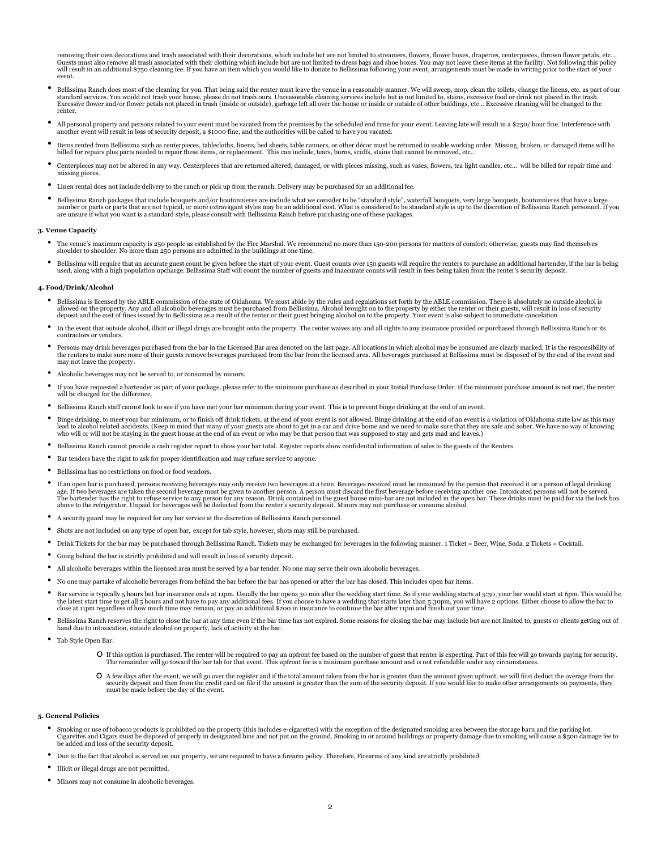removing their own decorations and trash associated with their decorations, which include but are not limited to streamers, flowers, flower boxes, draperies, centerpieces, thrown flower petals, etc...<br>Guests must also remo event.

- Dellissima Ranch does most of the cleaning for you. That being said the renter must leave the venue in a reasonably manner. We will sweep, mop, clean the toilets, change the linens, etc. as part of our standard services. Y Excessive flower and/or flower petals not placed in trash (inside or outside), garbage left all over the house or inside or outside of other buildings, etc… Excessive cleaning will be changed to the renter.
- All personal property and persons related to your event must be vacated from the premises by the scheduled end time for your event. Leaving late will result in a \$250/ hour fine. Interference with another event will resu
- Items rented from Bellissima such as centerpieces, tablecloths, linens, bed sheets, table runners, or other décor must be returned in usable working order. Missing, broken, or damaged items will be billed for repairs plus parts needed to repair these items, or replacement. This can include, tears, burns, scuffs, stains that cannot be removed, etc…
- Centerpieces may not be altered in any way. Centerpieces that are returned altered, damaged, or with pieces missing, such as vases, flowers, tea light candles, etc… will be billed for repair time and missing pieces.
- Linen rental does not include delivery to the ranch or pick up from the ranch. Delivery may be purchased for an additional fee.
- Dellissima Ranch packages that include bouquets and/or boutonnieres are include what we consider to be "standard style", waterfall bouquets, very large bouquets, boutonnieres that have a large number or parts or parts that are unsure if what you want is a standard style, please consult with Bellissima Ranch before purchasing one of these packages.

### **3. Venue Capacity**

- The venue's maximum capacity is 250 people as established by the Fire Marshal. We recommend no more than 150-200 persons for matters of comfort; otherwise, guests may find themselves shoulder to shoulder. No more than 250 persons are admitted in the buildings at one time.
- Bellissima will require that an accurate guest count be given before the start of your event. Guest counts over 150 guests will require the renters to purchase an additional bartender, if the bar is being used, along with a high population upcharge. Bellissima Staff will count the number of guests and inaccurate counts will result in fees being taken from the renter's security deposit.

## **4. Food/Drink/Alcohol**

- Bellissima is licensed by the ABLE commission of the state of Oklahoma. We must abide by the rules and regulations set forth by the ABLE commission. There is absolutely no outside alcohol is allowed on the property. Any deposit and the cost of fines issued by to Bellissima as a result of the renter or their guest bringing alcohol on to the property. Your event is also subject to immediate cancelation.
- In the event that outside alcohol, illicit or illegal drugs are brought onto the property. The renter waives any and all rights to any insurance provided or purchased through Bellissima Ranch or its contractors or vendors.
- Persons may drink beverages purchased from the bar in the Licensed Bar area denoted on the last page. All locations in which alcohol may be consumed are clearly marked. It is the responsibility of the renters to make sure none of their guests remove beverages purchased from the bar from the licensed area. All beverages purchased at Bellissima must be disposed of by the end of the event and may not leave the property.
- Alcoholic beverages may not be served to, or consumed by minors.
- If you have requested a bartender as part of your package, please refer to the minimum purchase as described in your Initial Purchase Order. If the minimum purchase amount is not met, the renter will be charged for the difference.
- Bellissima Ranch staff cannot look to see if you have met your bar minimum during your event. This is to prevent binge drinking at the end of an event.
- Binge drinking, to meet your bar minimum, or to finish off drink tickets, at the end of your event is not allowed. Binge drinking at the end of an event is a violation of Oklahoma state law as this may lead to alcohol related accidents. (Keep in mind that many of your guests are about to get in a car and drive home and we need to make sure that they are safe and sober. We have no way of knowing<br>who will or will not be st
- Bellissima Ranch cannot provide a cash register report to show your bar total. Register reports show confidential information of sales to the guests of the Renters.
- Bar tenders have the right to ask for proper identification and may refuse service to anyone.
- Bellissima has no restrictions on food or food vendors.
- If an open bar is purchased, persons receiving beverages may only receive two beverages at a time. Beverages received must be consumed by the person that received it or a person of legal drinking age. If two beverages are above to the refrigerator. Unpaid for beverages will be deducted from the renter's security deposit. Minors may not purchase or consume alcohol.
- <sup>A</sup> security guard may be required for any bar service at the discretion of Bellissima Ranch personnel.
- Shots are not included on any type of open bar, except for tab style, however, shots may still be purchased.
- Drink Tickets for the bar may be purchased through Bellissima Ranch. Tickets may be exchanged for beverages in the following manner. 1 Ticket = Beer, Wine, Soda. 2 Tickets = Cocktail.
- Going behind the bar is strictly prohibited and will result in loss of security deposit.
- All alcoholic beverages within the licensed area must be served by a bar tender. No one may serve their own alcoholic beverages.
- No one may partake of alcoholic beverages from behind the bar before the bar has opened or after the bar has closed. This includes open bar items.
- Bar service is typically 5 hours but bar insurance ends at 11pm. Usually the bar opens 30 min after the wedding start time. So if your wedding starts at 5:30, your bar would start at 6pm. This would be the latest start time to get all 5 hours and not have to pay any additional fees. If you choose to have a wedding that starts later than 5:30pm, you will have 2 options. Either choose to allow the bar to<br>close at 11pm rega
- Bellissima Ranch reserves the right to close the bar at any time even if the bar time has not expired. Some reasons for closing the bar may include but are not limited to, guests or clients getting out of hand due to intoxication, outside alcohol on property, lack of activity at the bar.
- Tab Style Open Bar:
	- o If this option is purchased. The renter will be required to pay an upfront fee based on the number of guest that renter is expecting. Part of this fee will go towards paying for security. The remainder will go toward the bar tab for that event. This upfront fee is a minimum purchase amount and is not refundable under any circumstance
	- O A few days after the event, we will go over the register and if the total amount taken from the bar is greater than the amount given upfront, we will first deduct the overage from the security deposit and then from the c must be made before the day of the event.

## **5. General Policies**

- Smoking or use of tobacco products is prohibited on the property (this includes e-cigarettes) with the exception of the designated smoking area between the storage barn and the parking lot. Cigarettes and Cigars must be disposed of properly in designated bins and not put on the ground. Smoking in or around buildings or property damage due to smoking will cause a \$500 damage fee to be added and loss of the security deposit.
- Due to the fact that alcohol is served on our property, we are required to have a firearm policy. Therefore, Firearms of any kind are strictly prohibited.
- Illicit or illegal drugs are not permitted.
- Minors may not consume in alcoholic beverages.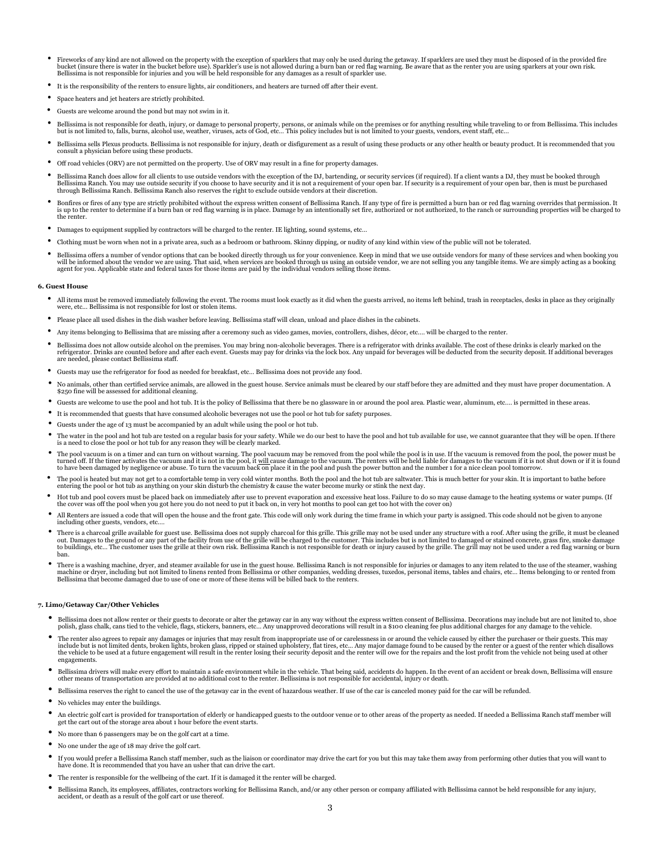- Fireworks of any kind are not allowed on the property with the exception of sparklers that may only be used during the getaway. If sparklers are used they must be disposed of in the provided fire bucket before use). Sparkl Bellissima is not responsible for injuries and you will be held responsible for any damages as a result of sparkler use.
- It is the responsibility of the renters to ensure lights, air conditioners, and heaters are turned off after their event.
- Space heaters and jet heaters are strictly prohibited.
- Guests are welcome around the pond but may not swim in it.
- Bellissima is not responsible for death, injury, or damage to personal property, persons, or animals while on the premises or for anything resulting while traveling to or from Bellissima. This includes but is not limited to, falls, burns, alcohol use, weather, viruses, acts of God, etc… This policy includes but is not limited to your guests, vendors, event staff, etc...
- Bellissima sells Plexus products. Bellissima is not responsible for injury, death or disfigurement as a result of using these products or any other health or beauty product. It is recommended that you<br>consult a physician
- Off road vehicles (ORV) are not permitted on the property. Use of ORV may result in a fine for property damages.
- Bellissima Ranch does allow for all clients to use outside vendors with the exception of the DJ, bartending, or security services (if required). If a client wants a DJ, they must be booked through Bellissima Ranch. You may use outside security if you choose to have security and it is not a requirement of your open bar. If security is a requirement of your open bar, then is must be purchased<br>through Bellissima Ranch.
- Bonfires or fires of any type are strictly prohibited without the express written consent of Bellissima Ranch. If any type of fire is permitted a burn ban or red flag warning overrides that permission. It<br>is up to the re the renter.
- Damages to equipment supplied by contractors will be charged to the renter. IE lighting, sound systems, etc…
- Clothing must be worn when not in a private area, such as a bedroom or bathroom. Skinny dipping, or nudity of any kind within view of the public will not be tolerated.
- Bellissima offers a number of vendor options that can be booked directly through us for your convenience. Keep in mind that we use outside vendors for many of these services and when booking you will be informed about the vendor we are using. That said, when services are booked through us using an outside vendor, we are not selling you any tangible items. We are simply acting as a booking<br>agent for you. Applicable

### **6. Guest House**

- All items must be removed immediately following the event. The rooms must look exactly as it did when the guests arrived, no items left behind, trash in receptacles, desks in place as they originally were, etc... Belliss
- Please place all used dishes in the dish washer before leaving. Bellissima staff will clean, unload and place dishes in the cabinets.
- Any items belonging to Bellissima that are missing after a ceremony such as video games, movies, controllers, dishes, décor, etc.… will be charged to the renter.
- Dellissima does not allow outside alcohol on the premises. You may bring non-alcoholic beverages. There is a refrigerator with drinks available. The cost of these drinks is clearly marked on the refrigerator. Drinks are co are needed, please contact Bellissima staff.
- Guests may use the refrigerator for food as needed for breakfast, etc… Bellissima does not provide any food.
- No animals, other than certified service animals, are allowed in the guest house. Service animals must be cleared by our staff before they are admitted and they must have proper documentation. A \$250 fine will be assesse
- Guests are welcome to use the pool and hot tub. It is the policy of Bellissima that there be no glassware in or around the pool area. Plastic wear, aluminum, etc.… is permitted in these areas.
- It is recommended that guests that have consumed alcoholic beverages not use the pool or hot tub for safety purposes.
- Guests under the age of 13 must be accompanied by an adult while using the pool or hot tub.
- The water in the pool and hot tub are tested on a regular basis for your safety. While we do our best to have the pool and hot tub available for use, we cannot guarantee that they will be open. If there is a need to close the pool or hot tub for any reason they will be clearly marked.
- The pool vacuum is on a timer and can turn on without warning. The pool vacuum may be removed from the pool while the pool is in use. If the vacuum is removed from the pool, the power must be turned off. If the timer activates the vacuum and it is not in the pool, it <u>will c</u>ause damage to the vacuum. The renters will be held liable for damages to the vacuum if it is not shut down or if it is found<br>to have been
- The pool is heated but may not get to a comfortable temp in very cold winter months. Both the pool and the hot tub are saltwater. This is much better for your skin. It is important to bathe before entering the pool or hot tub as anything on your skin disturb the chemistry & cause the water become murky or stink the next day.
- Hot tub and pool covers must be placed back on immediately after use to prevent evaporation and excessive heat loss. Failure to do so may cause damage to the heating systems or water pumps. (If the cover was off the pool
- All Renters are issued a code that will open the house and the front gate. This code will only work during the time frame in which your party is assigned. This code should not be given to anyone including other guests, vendors, etc.…
- There is a charcoal grille available for guest use. Bellissima does not supply charcoal for this grille. This grille may not be used under any structure with a roof. After using the grille, it must be cleaned out. Damages to the ground or any part of the facility from use of the grille will be charged to the customer. This includes but is not limited to damaged or stained concrete, grass fire, smoke damage<br>to buildings, etc… Th ban.
- There is a washing machine, dryer, and steamer available for use in the guest house. Bellissima Ranch is not responsible for injuries or damages to any item related to the use of the steamer, washing machine or dryer, incl

### **7. Limo/Getaway Car/Other Vehicles**

- Bellissima does not allow renter or their guests to decorate or alter the getaway car in any way without the express written consent of Bellissima. Decorations may include but are not limited to, shoe<br>polish, glass chalk
- The renter also agrees to repair any damages or injuries that may result from inappropriate use of or carelessness in or around the vehicle caused by either the purchaser or their guests. This may include but is not limi engagements.
- Bellissima drivers will make every effort to maintain a safe environment while in the vehicle. That being said, accidents do happen. In the event of an accident or break down, Bellissima will ensure other means of transportation are provided at no additional cost to the renter. Bellissima is not responsible for accidental, injury or death.
- Bellissima reserves the right to cancel the use of the getaway car in the event of hazardous weather. If use of the car is canceled money paid for the car will be refunded.
- No vehicles may enter the buildings.
- An electric golf cart is provided for transportation of elderly or handicapped guests to the outdoor venue or to other areas of the property as needed. If needed a Bellissima Ranch staff member will get the cart out of the storage area about 1 hour before the event starts.
- No more than 6 passengers may be on the golf cart at a time.
- No one under the age of 18 may drive the golf cart.
- If you would prefer a Bellissima Ranch staff member, such as the liaison or coordinator may drive the cart for you but this may take them away from performing other duties that you will want to have done. It is recommend
- The renter is responsible for the wellbeing of the cart. If it is damaged it the renter will be charged.
- Bellissima Ranch, its employees, affiliates, contractors working for Bellissima Ranch, and/or any other person or company affiliated with Bellissima cannot be held responsible for any injury, accident, or death as a resu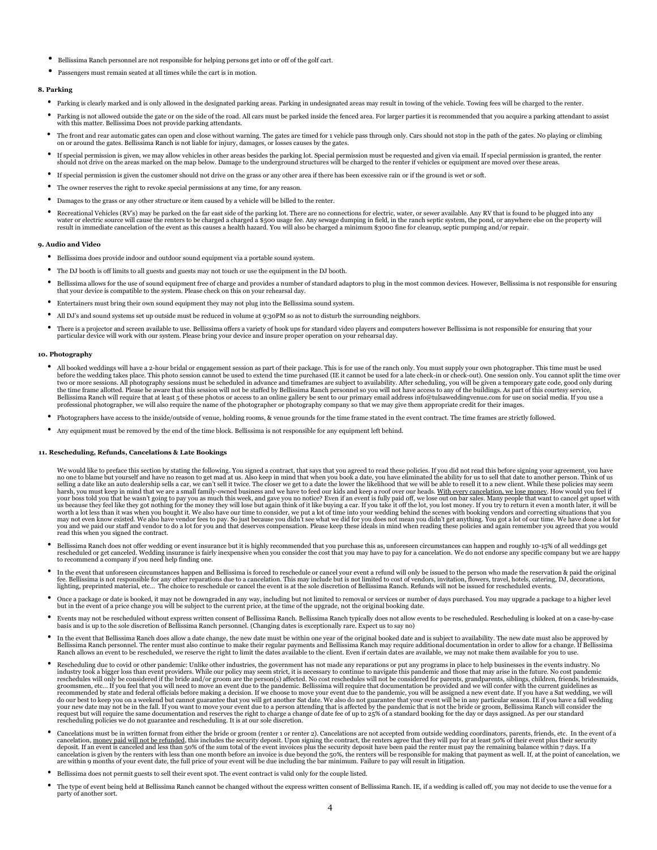- Bellissima Ranch personnel are not responsible for helping persons get into or off of the golf cart.
- Passengers must remain seated at all times while the cart is in motion.

### **8. Parking**

- Parking is clearly marked and is only allowed in the designated parking areas. Parking in undesignated areas may result in towing of the vehicle. Towing fees will be charged to the renter.
- Parking is not allowed outside the gate or on the side of the road. All cars must be parked inside the fenced area. For larger parties it is recommended that you acquire a parking attendant to assist with this matter. Bellissima Does not provide parking attendants.
- The front and rear automatic gates can open and close without warning. The gates are timed for 1 vehicle pass through only. Cars should not stop in the path of the gates. No playing or climbing<br>on or around the gates. Be
- If special permission is given, we may allow vehicles in other areas besides the parking lot. Special permission must be requested and given via email. If special permission is granted, the renter should not drive on the areas marked on the map below. Damage to the underground structures will be charged to the renter if vehicles or equipment are moved over these areas.
- If special permission is given the customer should not drive on the grass or any other area if there has been excessive rain or if the ground is wet or soft.
- The owner reserves the right to revoke special permissions at any time, for any reason.
- Damages to the grass or any other structure or item caused by a vehicle will be billed to the renter.
- Recreational Vehicles (RV's) may be parked on the far east side of the parking lot. There are no connections for electric, water, or sewer available. Any RV that is found to be plugged into any water or electric source wil

#### **9. Audio and Video**

- Bellissima does provide indoor and outdoor sound equipment via a portable sound system.
- The DJ booth is off limits to all guests and guests may not touch or use the equipment in the DJ booth.
- Bellissima allows for the use of sound equipment free of charge and provides a number of standard adaptors to plug in the most common devices. However, Bellissima is not responsible for ensuring that your device is compatible to the system. Please check on this on your rehearsal day.
- Entertainers must bring their own sound equipment they may not plug into the Bellissima sound system.
- All DJ's and sound systems set up outside must be reduced in volume at 9:30PM so as not to disturb the surrounding neighbors.
- There is a projector and screen available to use. Bellissima offers a variety of hook ups for standard video players and computers however Bellissima is not responsible for ensuring that your particular device will work with our system. Please bring your device and insure proper operation on your rehearsal day.

## **10. Photography**

- All booked weddings will have a 2-hour bridal or engagement session as part of their package. This is for use of the ranch only. You must supply your own photographer. This time must be used before the wedding takes place. This photo session cannot be used to extend the time purchased (IE it cannot be used for a late check-in or check-out). One session only. You cannot split the time over<br>two or more sessions. Bellissima Ranch will require that at least 5 of these photos or access to an online gallery be sent to our primary email address info@tulsaweddingvenue.com for use on social media. If you use a<br>professional photographer,
- Photographers have access to the inside/outside of venue, holding rooms, & venue grounds for the time frame stated in the event contract. The time frames are strictly followed.
- Any equipment must be removed by the end of the time block. Bellissima is not responsible for any equipment left behind.

## **11. Rescheduling, Refunds, Cancelations & Late Bookings**

We would like to preface this section by stating the following. You signed a contract, that says that you agreed to read these policies. If you did not read this before signing your agreement, you have no one to blame but yourself and have no reason to get mad at us. Also keep in mind that when you book a date, you have eliminated the ability for us to sell that date to another person. Think of us<br>harsh, you must keep in us because they feel like they got nothing for the money they will lose but again think of it like buying a car. If you take it off the lot, you lost money. If you try to return it even a month later, it will be worth a lo read this when you signed the contract.

- Bellissima Ranch does not offer wedding or event insurance but it is highly recommended that you purchase this as, unforeseen circumstances can happen and roughly 10-15% of all weddings get<br>rescheduled or get canceled. W
- In the event that unforeseen circumstances happen and Bellissima is forced to reschedule or cancel your event a refund will only be issued to the person who made the reservation & paid the original fee. Bellissima is not responsible for any other reparations due to a cancelation. This may include but is not limited to cost of vendors, invitation, flowers, travel, hotels, catering, DJ, decorations,<br>lighting, preprinte
- Once a package or date is booked, it may not be downgraded in any way, including but not limited to removal or services or number of days purchased. You may upgrade a package to a higher level<br>but in the event of a price
- Events may not be rescheduled without express written consent of Bellissima Ranch. Bellissima Ranch typically does not allow events to be rescheduled. Rescheduling is looked at on a case-by-case basis and is up to the sole discretion of Bellissima Ranch personnel. (Changing dates is exceptionally rare. Expect us to say no)
- In the event that Bellissima Ranch does allow a date change, the new date must be within one year of the original booked date and is subject to availability. The new date must also be approved by Bellissima Ranch personnel. The renter must also continue to make their regular payments and Bellissima Ranch may require additional documentation in order to allow for a change. If Bellissima<br>Ranch allows an event to be r
- Rescheduling due to covid or other pandemic: Unlike other industries, the government has not made any reparations or put any programs in place to help businesses in the events industry. No industry took a bigger loss than event providers. While our policy may seem strict, it is necessary to continue to navigate this pandemic and those that may arise in the future. No cost pandemic and those that may arise in recommended by state and federal officials before making a decision. If we choose to move your event due to the pandemic, you will be assigned a new event date. If you have a Sat wedding, we will<br>do our best to keep you on your new date may not be in the fall. If you want to move your event due to a person attending that is affected by the pandemic that is not the bride or groom, Bellissima Ranch will consider the<br>request but will require th
- Cancelations must be in written format from either the bride or groom (renter 1 or renter 2). Cancelations are not accepted from outside wedding coordinators, parents, friends, etc. In the event of a cancelation, <u>money paid will not be refunded</u>, this includes the security deposit. Upon signing the contract, the renters agree that they will pay for at least 50% of their event plus their security deposited and less tha
- Bellissima does not permit guests to sell their event spot. The event contract is valid only for the couple listed.
- The type of event being held at Bellissima Ranch cannot be changed without the express written consent of Bellissima Ranch. IE, if a wedding is called off, you may not decide to use the venue for a party of another sort.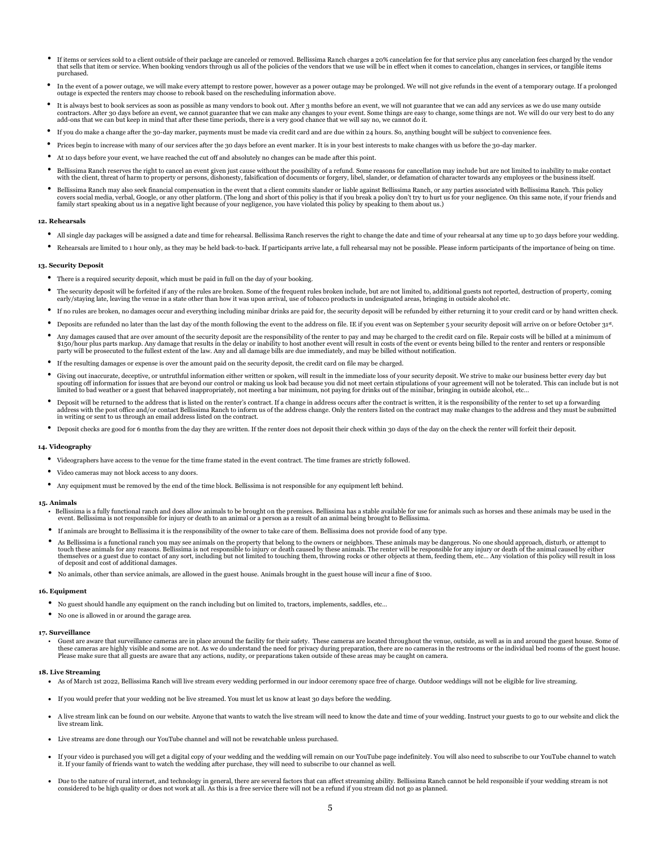- If items or services sold to a client outside of their package are canceled or removed. Bellissima Ranch charges a 20% cancelation fee for that service plus any cancelation fees charged by the vendor that sells that item o purchased.
- In the event of a power outage, we will make every attempt to restore power, however as a power outage may be prolonged. We will not give refunds in the event of a temporary outage. If a prolonged outage is expected the
- It is always best to book services as soon as possible as many vendors to book out. After 3 months before an event, we will not guarantee that we can add any services as we do use many outside contractors. After 30 days before an event, we cannot guarantee that we can make any changes to your event. Some things are easy to change, some things are not. We will do our very best to do any add-ons that we can but keep in mind that after these time periods, there is a very good chance that we will say no, we cannot do it.
- If you do make a change after the 30-day marker, payments must be made via credit card and are due within 24 hours. So, anything bought will be subject to convenience fees.
- Prices begin to increase with many of our services after the 30 days before an event marker. It is in your best interests to make changes with us before the 30-day marker.
- At 10 days before your event, we have reached the cut off and absolutely no changes can be made after this point.
- Bellissima Ranch reserves the right to cancel an event given just cause without the possibility of a refund. Some reasons for cancellation may include but are not limited to inability to make contact with the client, threat of harm to property or persons, dishonesty, falsification of documents or forgery, libel, slander, or defamation of character towards any employees or the business itself.
- Bellissima Ranch may also seek financial compensation in the event that a client commits slander or liable against Bellissima Ranch, or any parties associated with Bellissima Ranch. This policy covers social media, verbal, Google, or any other platform. (The long and short of this policy is that if you break a policy don't try to hurt us for your negligence. On this same note, if your friends and<br>family start spe

## **12. Rehearsals**

- All single day packages will be assigned a date and time for rehearsal. Bellissima Ranch reserves the right to change the date and time of your rehearsal at any time up to 30 days before your wedding.
- Rehearsals are limited to 1 hour only, as they may be held back-to-back. If participants arrive late, a full rehearsal may not be possible. Please inform participants of the importance of being on time.

### **13. Security Deposit**

- There is a required security deposit, which must be paid in full on the day of your booking.
- The security deposit will be forfeited if any of the rules are broken. Some of the frequent rules broken include, but are not limited to, additional guests not reported, destruction of property, coming early/staying late, leaving the venue in a state other than how it was upon arrival, use of tobacco products in undesignated areas, bringing in outside alcohol etc.
- If no rules are broken, no damages occur and everything including minibar drinks are paid for, the security deposit will be refunded by either returning it to your credit card or by hand written check.
- Deposits are refunded no later than the last day of the month following the event to the address on file. IE if you event was on September 5 your security deposit will arrive on or before October 31st .
- Any damages caused that are over amount of the security deposit are the responsibility of the renter to pay and may be charged to the credit card on file. Repair costs will be billed at a minimum of \$150/hour plus parts markup. Any damage that results in the delay or inability to host another event will result in costs of the event or events being billed to the renter and renters or responsible party will be prosecuted to the fullest extent of the law. Any and all damage bills are due immediately, and may be billed without notification.
- If the resulting damages or expense is over the amount paid on the security deposit, the credit card on file may be charged.
- Civing out inaccurate, deceptive, or untruthful information either written or spoken, will result in the immediate loss of your security deposit. We strive to make our business better every day but spouting off information limited to bad weather or a guest that behaved inappropriately, not meeting a bar minimum, not paying for drinks out of the minibar, bringing in outside alcohol, etc…
- Deposit will be returned to the address that is listed on the renter's contract. If a change in address occurs after the contract is written, it is the responsibility of the renter to set up a forwarding address with the post office and/or contact Bellissima Ranch to inform us of the address change. Only the renters listed on the contract may make changes to the address and they must be submitted in writing or sent to us through an email address listed on the contract.
- Deposit checks are good for 6 months from the day they are written. If the renter does not deposit their check within 30 days of the day on the check the renter will forfeit their deposit.

## **14. Videography**

- Videographers have access to the venue for the time frame stated in the event contract. The time frames are strictly followed.
- Video cameras may not block access to any doors.
- Any equipment must be removed by the end of the time block. Bellissima is not responsible for any equipment left behind.

## **15. Animals**

- Bellissima is a fully functional ranch and does allow animals to be brought on the premises. Bellissima has a stable available for use for animals such as horses and these animals may be used in the event. Bellissima is not responsible for injury or death to an animal or a person as a result of an animal being brought to Bellissima.
- If animals are brought to Bellissima it is the responsibility of the owner to take care of them. Bellissima does not provide food of any type.
- As Bellissima is a functional ranch you may see animals on the property that belong to the owners or neighbors. These animals may be dangerous. No one should approach, disturb, or attempt to touch these animals for any rea of deposit and cost of additional damages.
- No animals, other than service animals, are allowed in the guest house. Animals brought in the guest house will incur a fine of \$100.

#### **16. Equipment**

- No guest should handle any equipment on the ranch including but on limited to, tractors, implements, saddles, etc…
- No one is allowed in or around the garage area.

#### **17. Surveillance**

• Guest are aware that surveillance cameras are in place around the facility for their safety. These cameras are located throughout the venue, outside, as well as in and around the guest house. Some of these cameras are highly visible and some are not. As we do understand the need for privacy during preparation, there are no cameras in the restrooms or the individual bed rooms of the guest house. Please make sure that all guests are aware that any actions, nudity, or preparations taken outside of these areas may be caught on camera.

#### **18. Live Streaming**

- As of March 1st 2022, Bellissima Ranch will live stream every wedding performed in our indoor ceremony space free of charge. Outdoor weddings will not be eligible for live streaming.
- If you would prefer that your wedding not be live streamed. You must let us know at least 30 days before the wedding.
- A live stream link can be found on our website. Anyone that wants to watch the live stream will need to know the date and time of your wedding. Instruct your guests to go to our website and click the live stream link.
- Live streams are done through our YouTube channel and will not be rewatchable unless purchased.
- If your video is purchased you will get a digital copy of your wedding and the wedding will remain on our YouTube page indefinitely. You will also need to subscribe to our YouTube channel to watch it. If your family of friends want to watch the wedding after purchase, they will need to subscribe to our channel as well.
- Due to the nature of rural internet, and technology in general, there are several factors that can affect streaming ability. Bellissima Ranch cannot be held responsible if your wedding stream is not considered to be high quality or does not work at all. As this is a free service there will not be a refund if you stream did not go as planned.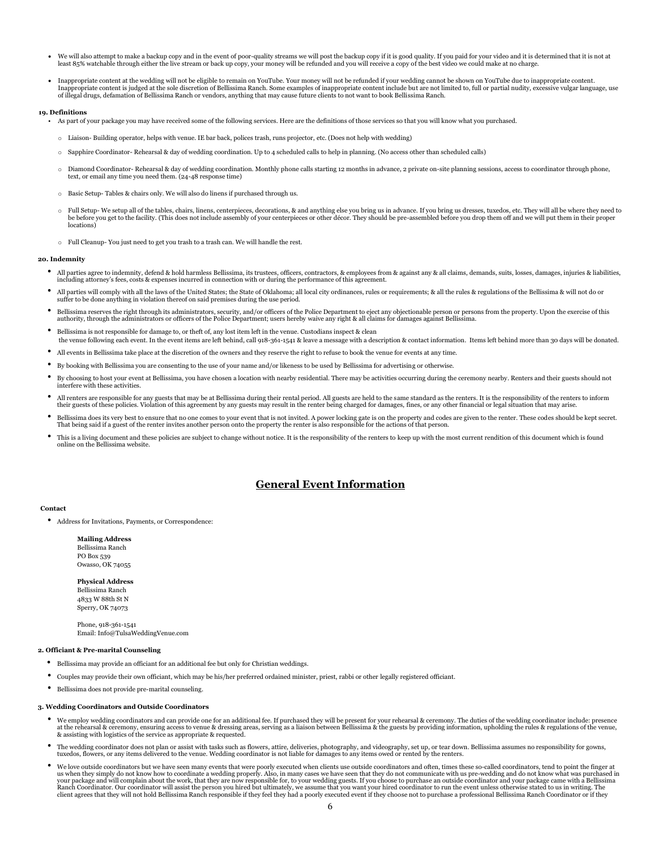- We will also attempt to make a backup copy and in the event of poor-quality streams we will post the backup copy if it is good quality. If you paid for your video and it is determined that it is not at least 85% watchable through either the live stream or back up copy, your money will be refunded and you will receive a copy of the best video we could make at no charge.
- Inappropriate content at the wedding will not be eligible to remain on YouTube. Your money will not be refunded if your wedding cannot be shown on YouTube due to inappropriate content. Inappropriate content is judged at the sole discretion of Bellissima Ranch. Some examples of inappropriate content include but are not limited to, full or partial nudity, excessive vulgar language, use<br>of illegal drugs, de

### **19. Definitions**

- As part of your package you may have received some of the following services. Here are the definitions of those services so that you will know what you purchased.
	- o Liaison- Building operator, helps with venue. IE bar back, polices trash, runs projector, etc. (Does not help with wedding)
	- o Sapphire Coordinator- Rehearsal & day of wedding coordination. Up to 4 scheduled calls to help in planning. (No access other than scheduled calls)
	- o Diamond Coordinator- Rehearsal & day of wedding coordination. Monthly phone calls starting 12 months in advance, 2 private on-site planning sessions, access to coordinator through phone, text, or email any time you need them. (24-48 response time)
	- o Basic Setup- Tables & chairs only. We will also do linens if purchased through us.
	- $\circ$  Full Setup-We setup all of the tables, chairs, linens, centerpieces, decorations, & and anything else you bring us in advance. If you bring us dresses, tuxedos, etc. They will all be where they need to be before you get to the facility. (This does not include assembly of your centerpieces or other décor. They should be pre-assembled before you drop them off and we will put them in their proper locations)
	- $\circ$   $\;$  Full Cleanup- You just need to get you trash to a trash can. We will handle the rest.

### **20. Indemnity**

- All parties agree to indemnity, defend & hold harmless Bellissima, its trustees, officers, contractors, & employees from & against any & all claims, demands, suits, losses, damages, injuries & liabilities, including attorney's fees, costs & expenses incurred in connection with or during the performance of this agreement.
- All parties will comply with all the laws of the United States; the State of Oklahoma; all local city ordinances, rules or requirements; & all the rules & regulations of the Bellissima & will not do or suffer to be done anything in violation thereof on said premises during the use period.
- Bellissima reserves the right through its administrators, security, and/or officers of the Police Department to eject any objectionable person or persons from the property. Upon the exercise of this authority, through the administrators or officers of the Police Department; users hereby waive any right & all claims for damages against Bellissima.
- Bellissima is not responsible for damage to, or theft of, any lost item left in the venue. Custodians inspect & clean the venue following each event. In the event items are left behind, call 918-361-1541 & leave a message with a description & contact information. Items left behind more than 30 days will be donated.
- All events in Bellissima take place at the discretion of the owners and they reserve the right to refuse to book the venue for events at any time.
- By booking with Bellissima you are consenting to the use of your name and/or likeness to be used by Bellissima for advertising or otherwise.
- By choosing to host your event at Bellissima, you have chosen a location with nearby residential. There may be activities occurring during the ceremony nearby. Renters and their guests should not terfere with these activities.
- All renters are responsible for any guests that may be at Bellissima during their rental period. All guests are held to the same standard as the renters. It is the responsibility of the renters to inform their guests of
- Bellissima does its very best to ensure that no one comes to your event that is not invited. A power locking gate is on the property and codes are given to the renter. These codes should be kept secret.<br>That being said i
- This is a living document and these policies are subject to change without notice. It is the responsibility of the renters to keep up with the most current rendition of this document which is found online on the Bellissima website.

# **General Event Information**

### **Contact**

• Address for Invitations, Payments, or Correspondence:

## **Mailing Address**

Bellissima Ranch PO Box 539 Owasso, OK 74055

**Physical Address** Bellissima Ranch 4833 W 88th St N Sperry, OK 74073

Phone, 918-361-1541 Email: Info@TulsaWeddingVenue.com

## **2. Officiant & Pre-marital Counseling**

- Bellissima may provide an officiant for an additional fee but only for Christian weddings.
- Couples may provide their own officiant, which may be his/her preferred ordained minister, priest, rabbi or other legally registered officiant.

• Bellissima does not provide pre-marital counseling.

### **3. Wedding Coordinators and Outside Coordinators**

- We employ wedding coordinators and can provide one for an additional fee. If purchased they will be present for your rehearsal & ceremony. The duties of the wedding coordinator include: presence at the rehearsal & ceremony, ensuring access to venue & dressing areas, serving as a liaison between Bellissima & the guests by providing information, upholding the rules & regulations of the venue,<br>& assisting with logist
- The wedding coordinator does not plan or assist with tasks such as flowers, attire, deliveries, photography, and videography, set up, or tear down. Bellissima assumes no responsibility for gowns, tuxedos, flowers, or any
- We love outside coordinators but we have seen many events that were poorly executed when clients use outside coordinators and often, times these so-called coordinators, tend to point the finger at us when they simply do not know how to coordinate a wedding properly. Also, in many cases we have seen that they do not communicate with us pre-wedding and do not know what was purchased in your package and will complain about the work, that they are now responsible for, to your wedding guests. If you choose to purchase an outside coordinator and your package came with a Bellissima<br>Ranch Coordinator. Our coor client agrees that they will not hold Bellissima Ranch responsible if they feel they had a poorly executed event if they choose not to purchase a professional Bellissima Ranch Coordinator or if they